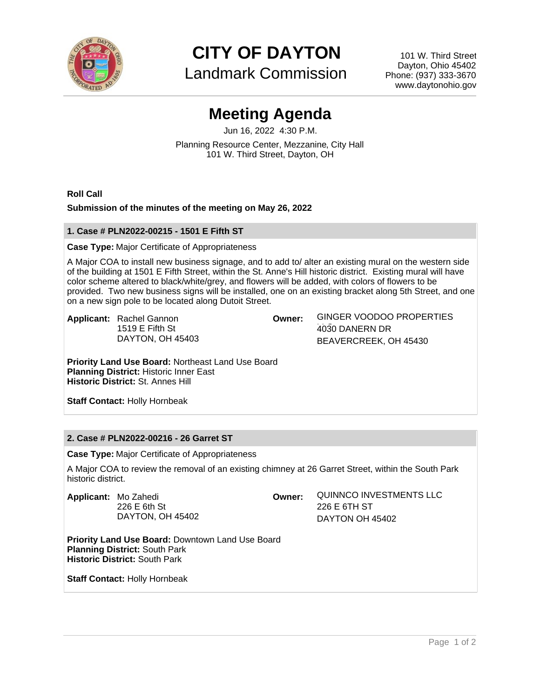

**CITY OF DAYTON**

Landmark Commission

101 W. Third Street Dayton, Ohio 45402 Phone: (937) 333-3670 www.daytonohio.gov

# **Meeting Agenda**

Jun 16, 2022 4:30 P.M. Planning Resource Center, Mezzanine, City Hall 101 W. Third Street, Dayton, OH

**Roll Call**

## **Submission of the minutes of the meeting on May 26, 2022**

## **1. Case # PLN2022-00215 - 1501 E Fifth ST**

#### **Case Type:** Major Certificate of Appropriateness

A Major COA to install new business signage, and to add to/ alter an existing mural on the western side of the building at 1501 E Fifth Street, within the St. Anne's Hill historic district. Existing mural will have color scheme altered to black/white/grey, and flowers will be added, with colors of flowers to be provided. Two new business signs will be installed, one on an existing bracket along 5th Street, and one on a new sign pole to be located along Dutoit Street.

**Applicant:** Rachel Gannon 1519 E Fifth St DAYTON, OH 45403

**Owner:** GINGER VOODOO PROPERTIES LLC 4030 DANERN DR BEAVERCREEK, OH 45430

**Priority Land Use Board:** Northeast Land Use Board **Planning District:** Historic Inner East **Historic District:** St. Annes Hill

**Staff Contact:** Holly Hornbeak

# **2. Case # PLN2022-00216 - 26 Garret ST**

**Case Type:** Major Certificate of Appropriateness

A Major COA to review the removal of an existing chimney at 26 Garret Street, within the South Park historic district.

**Applicant:** Mo Zahedi 226 E 6th St DAYTON, OH 45402 **Owner:** QUINNCO INVESTMENTS LLC 226 E 6TH ST DAYTON OH 45402

**Priority Land Use Board:** Downtown Land Use Board **Planning District:** South Park **Historic District:** South Park

**Staff Contact:** Holly Hornbeak